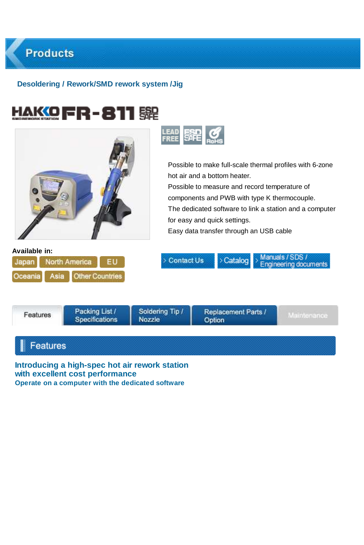# **Products**

# **Desoldering / Rework/SMD rework system /Jig**

|                                           |                                         | <b>LEAD</b><br><b>FREE</b>      | 騠<br>Possible to make full-scale thermal profiles with 6-zone<br>hot air and a bottom heater.<br>Possible to measure and record temperature of<br>components and PWB with type K thermocouple.<br>The dedicated software to link a station and a computer |                                                 |  |  |  |
|-------------------------------------------|-----------------------------------------|---------------------------------|-----------------------------------------------------------------------------------------------------------------------------------------------------------------------------------------------------------------------------------------------------------|-------------------------------------------------|--|--|--|
|                                           |                                         |                                 | for easy and quick settings.<br>Easy data transfer through an USB cable                                                                                                                                                                                   |                                                 |  |  |  |
| Available in:<br>Japan<br>Oceania<br>Asia | North America<br><b>Other Countries</b> | > Contact Us                    | > Catalog                                                                                                                                                                                                                                                 | Manuals / SDS /<br><b>Engineering documents</b> |  |  |  |
| Features                                  | Packing List /<br><b>Specifications</b> | Soldenng Tip /<br><b>Nozzle</b> | Replacement Parts /<br>Option                                                                                                                                                                                                                             | Maintenance                                     |  |  |  |

# $\parallel$  Features

**Introducing a high-spec hot air rework station with excellent cost performance Operate on a computer with the dedicated software**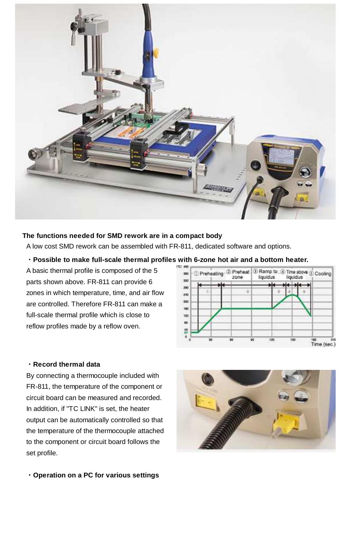

#### **The functions needed for SMD rework are in a compact body**

A low cost SMD rework can be assembled with FR-811, dedicated software and options.

# **・Possible to make full-scale thermal profiles with 6-zone hot air and a bottom heater.**

A basic thermal profile is composed of the 5 parts shown above. FR-811 can provide 6 zones in which temperature, time, and air flow are controlled. Therefore FR-811 can make a full-scale thermal profile which is close to reflow profiles made by a reflow oven.



#### **・Record thermal data**

By connecting a thermocouple included with FR-811, the temperature of the component or circuit board can be measured and recorded. In addition, if "TC LINK" is set, the heater output can be automatically controlled so that the temperature of the thermocouple attached to the component or circuit board follows the set profile.

**・Operation on a PC for various settings**

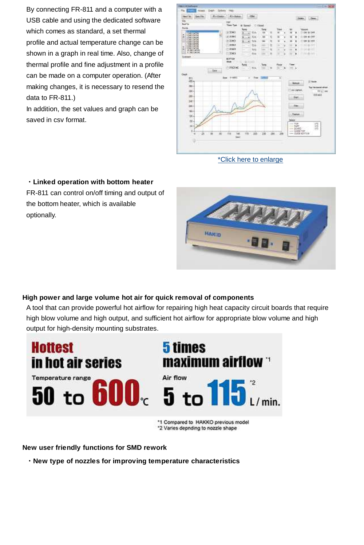By connecting FR-811 and a computer with a USB cable and using the dedicated software which comes as standard, a set thermal profile and actual temperature change can be shown in a graph in real time. Also, change of thermal profile and fine adjustment in a profile can be made on a computer operation. (After making changes, it is necessary to resend the data to FR-811.)

In addition, the set values and graph can be saved in csv format.

| Own File<br><b>Nulleage</b><br><b>House Coleman</b><br>Tak                  | Littlebaul                                                             | 1.234                                                                                     |                                                             | 1200<br>liste.                                                                                                                                    |
|-----------------------------------------------------------------------------|------------------------------------------------------------------------|-------------------------------------------------------------------------------------------|-------------------------------------------------------------|---------------------------------------------------------------------------------------------------------------------------------------------------|
| <b>Keal</b> in                                                              | FOR STOR<br>Time Tues                                                  | At Spreech  15 Closed                                                                     |                                                             |                                                                                                                                                   |
| <b>Posta</b><br><b>Rich</b><br>٠<br>٠<br><b>Figs</b><br>÷<br><b>10:041N</b> | <b>None</b><br>H 3060<br>8.2093<br>$= 3000$<br>men                     | lang<br>Tilk<br>œ<br>٠<br>۰<br>X<br><b>DA</b><br>$\rightarrow$<br>×<br>tin<br>×<br>٠<br>÷ | Time<br>×<br>٠<br>٠<br>٠<br>٠<br>n<br>٠<br>ä<br>×<br>×<br>ш | Values<br>091-01077<br><b>SE 45 YES</b><br>ten as yes<br>٠<br>$46 - 24 + 1$<br>÷                                                                  |
| 12/20<br>٠<br>۰<br>IF GO DATA<br>۰<br>÷<br># ho best<br>Compast             | c<br>٠<br><b>CL20ACE</b><br>٠<br><b>FEDERAL</b><br>-7<br><b>BOTTER</b> | tia<br>-<br>۰<br>۰<br>٠<br><b>In A</b><br>-<br>٠<br><b>TA</b><br>÷<br>$\sim$<br>10        | ٠<br>×<br>۰<br>۰<br>×<br>٠<br>۰<br>×<br>٠                   | ٠<br>$34.46 + 1.7$<br>٠<br><b>CALLAS</b><br>٠                                                                                                     |
| Gaid<br>Oven                                                                | <b>Made</b><br>-<br>يبية<br><b>CONTRACT</b><br>19 Miles<br><b>Sun</b>  | $\sim$<br>Tens<br>$-104$<br><b>TE</b><br>×<br>c. Two commit-                              | <b>They</b><br><b>Place</b><br>×<br>Inc. &<br>٠<br>x        |                                                                                                                                                   |
| f2b<br>iti -<br>mar.<br>m.<br>œ<br>185<br>141 <sup>-1</sup>                 |                                                                        |                                                                                           |                                                             | <b>U. Sank</b><br><b>Bullauk</b><br>The The base of six ext<br><b>Give Stabilities</b><br><b>HELL</b> AND<br><b>IXN</b> with<br><b>Fert</b><br>ww |
| <b>1864</b><br>m.<br>w.<br>NH <sub>1</sub>                                  |                                                                        |                                                                                           | lakes                                                       | Feb.<br><b>Contact</b><br>$-708$<br>請                                                                                                             |
| ti-<br>5.<br>n.<br>×в<br>u<br>w<br>٠<br>ø                                   | <b>TER</b><br>YHY.<br>Ŵ<br> m                                          | 39h<br>ïя                                                                                 | 266  256                                                    | $--$ 8.95<br>$=5040$<br>$10-$<br>$-$ 1100 100<br>$-$ 2404 spring                                                                                  |

\*Click here to enlarge

**・Linked operation with bottom heater** FR-811 can control on/off timing and output of the bottom heater, which is available optionally.



#### **High power and large volume hot air for quick removal of components**

A tool that can provide powerful hot airflow for repairing high heat capacity circuit boards that require high blow volume and high output, and sufficient hot airflow for appropriate blow volume and high output for high-density mounting substrates.



\*2 Varies depnding to nozzle shape

**New user friendly functions for SMD rework**

**・New type of nozzles for improving temperature characteristics**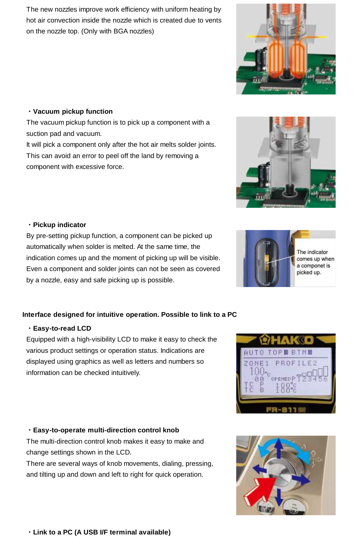The new nozzles improve work efficiency with uniform heating by hot air convection inside the nozzle which is created due to vents on the nozzle top. (Only with BGA nozzles)

#### **・Vacuum pickup function**

The vacuum pickup function is to pick up a component with a suction pad and vacuum. It will pick a component only after the hot air melts solder joints.

This can avoid an error to peel off the land by removing a component with excessive force.

### **・Pickup indicator**

By pre-setting pickup function, a component can be picked up automatically when solder is melted. At the same time, the indication comes up and the moment of picking up will be visible. Even a component and solder joints can not be seen as covered by a nozzle, easy and safe picking up is possible.

#### **Interface designed for intuitive operation. Possible to link to a PC**

#### **・Easy-to-read LCD**

Equipped with a high-visibility LCD to make it easy to check the various product settings or operation status. Indications are displayed using graphics as well as letters and numbers so information can be checked intuitively.

# **・Easy-to-operate multi-direction control knob**

The multi-direction control knob makes it easy to make and change settings shown in the LCD.

There are several ways of knob movements, dialing, pressing, and tilting up and down and left to right for quick operation.









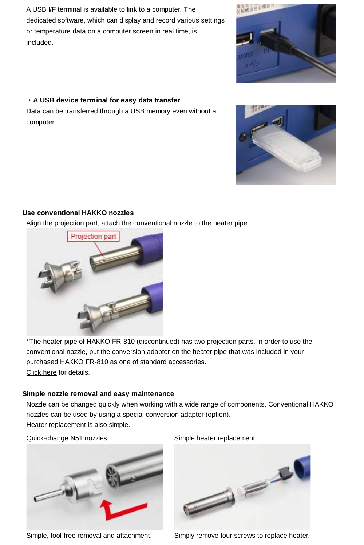A USB I/F terminal is available to link to a computer. The dedicated software, which can display and record various settings or temperature data on a computer screen in real time, is included.

#### **・A USB device terminal for easy data transfer**

Data can be transferred through a USB memory even without a computer.

# **Use conventional HAKKO nozzles**

Projection part

Align the projection part, attach the conventional nozzle to the heater pipe.

\*The heater pipe of HAKKO FR-810 (discontinued) has two projection parts. In order to use the conventional nozzle, put the conversion adaptor on the heater pipe that was included in your purchased HAKKO FR-810 as one of standard accessories. Click here for details.

#### **Simple nozzle removal and easy maintenance**

Nozzle can be changed quickly when working with a wide range of components. Conventional HAKKO nozzles can be used by using a special conversion adapter (option). Heater replacement is also simple.

Quick-change N51 nozzles Simple heater replacement

Simple, tool-free removal and attachment. Simply remove four screws to replace heater.





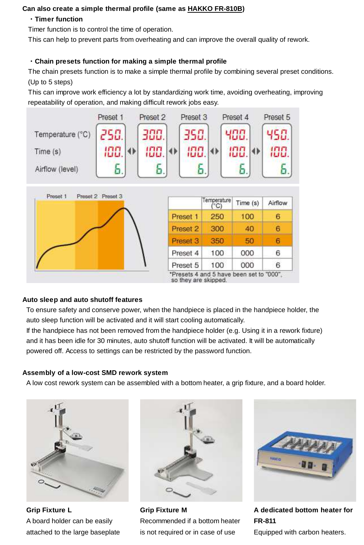# **Can also create a simple thermal profile (same as HAKKO FR-810B)**

### **・Timer function**

Timer function is to control the time of operation.

This can help to prevent parts from overheating and can improve the overall quality of rework.

# **・Chain presets function for making a simple thermal profile**

The chain presets function is to make a simple thermal profile by combining several preset conditions. (Up to 5 steps)

This can improve work efficiency a lot by standardizing work time, avoiding overheating, improving repeatability of operation, and making difficult rework jobs easy.



# **Auto sleep and auto shutoff features**

To ensure safety and conserve power, when the handpiece is placed in the handpiece holder, the auto sleep function will be activated and it will start cooling automatically.

If the handpiece has not been removed from the handpiece holder (e.g. Using it in a rework fixture) and it has been idle for 30 minutes, auto shutoff function will be activated. It will be automatically powered off. Access to settings can be restricted by the password function.

#### **Assembly of a low-cost SMD rework system**

A low cost rework system can be assembled with a bottom heater, a grip fixture, and a board holder.



**Grip Fixture L** A board holder can be easily attached to the large baseplate



**Grip Fixture M** Recommended if a bottom heater is not required or in case of use



**A dedicated bottom heater for FR-811**

Equipped with carbon heaters.